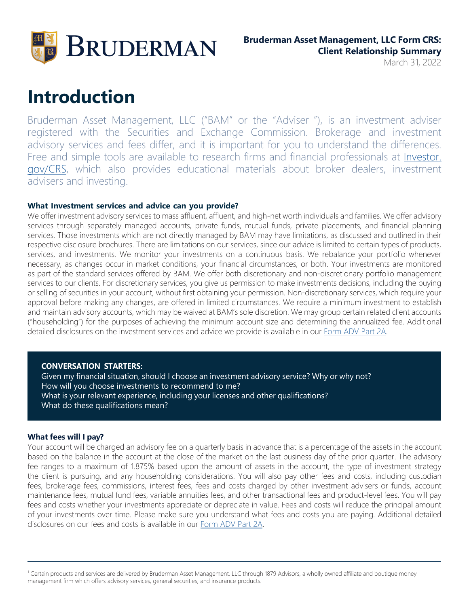

March 31, 2022

# **Introduction**

Bruderman Asset Management, LLC ("BAM" or the "Adviser "), is an investment adviser registered with the Securities and Exchange Commission. Brokerage and investment advisory services and fees differ, and it is important for you to understand the differences. Free and simple tools are available to research firms and financial professionals at *Investor*. [gov/CRS,](http://www.investor.gov/CRS) which also provides educational materials about broker dealers, investment advisers and investing.

#### **What Investment services and advice can you provide?**

We offer investment advisory services to mass affluent, affluent, and high-net worth individuals and families. We offer advisory services through separately managed accounts, private funds, mutual funds, private placements, and financial planning services. Those investments which are not directly managed by BAM may have limitations, as discussed and outlined in their respective disclosure brochures. There are limitations on our services, since our advice is limited to certain types of products, services, and investments. We monitor your investments on a continuous basis. We rebalance your portfolio whenever necessary, as changes occur in market conditions, your financial circumstances, or both. Your investments are monitored as part of the standard services offered by BAM. We offer both discretionary and non-discretionary portfolio management services to our clients. For discretionary services, you give us permission to make investments decisions, including the buying or selling of securities in your account, without first obtaining your permission. Non-discretionary services, which require your approval before making any changes, are offered in limited circumstances. We require a minimum investment to establish and maintain advisory accounts, which may be waived at BAM's sole discretion. We may group certain related client accounts ("householding") for the purposes of achieving the minimum account size and determining the annualized fee. Additional detailed disclosures on the investment services and advice we provide is available in our [Form ADV Part 2A.](https://files.adviserinfo.sec.gov/IAPD/Content/Common/crd_iapd_Brochure.aspx?BRCHR_VRSN_ID=705938)

#### **CONVERSATION STARTERS:**

Given my financial situation, should I choose an investment advisory service? Why or why not? How will you choose investments to recommend to me? What is your relevant experience, including your licenses and other qualifications? What do these qualifications mean?

#### **What fees will I pay?**

Your account will be charged an advisory fee on a quarterly basis in advance that is a percentage of the assets in the account based on the balance in the account at the close of the market on the last business day of the prior quarter. The advisory fee ranges to a maximum of 1.875% based upon the amount of assets in the account, the type of investment strategy the client is pursuing, and any householding considerations. You will also pay other fees and costs, including custodian fees, brokerage fees, commissions, interest fees, fees and costs charged by other investment advisers or funds, account maintenance fees, mutual fund fees, variable annuities fees, and other transactional fees and product-level fees. You will pay fees and costs whether your investments appreciate or depreciate in value. Fees and costs will reduce the principal amount of your investments over time. Please make sure you understand what fees and costs you are paying. Additional detailed disclosures on our fees and costs is available in ou[r Form ADV Part 2A.](https://files.adviserinfo.sec.gov/IAPD/Content/Common/crd_iapd_Brochure.aspx?BRCHR_VRSN_ID=705938)

<sup>1</sup> Certain products and services are delivered by Bruderman Asset Management, LLC through 1879 Advisors, a wholly owned affiliate and boutique money management firm which offers advisory services, general securities, and insurance products.